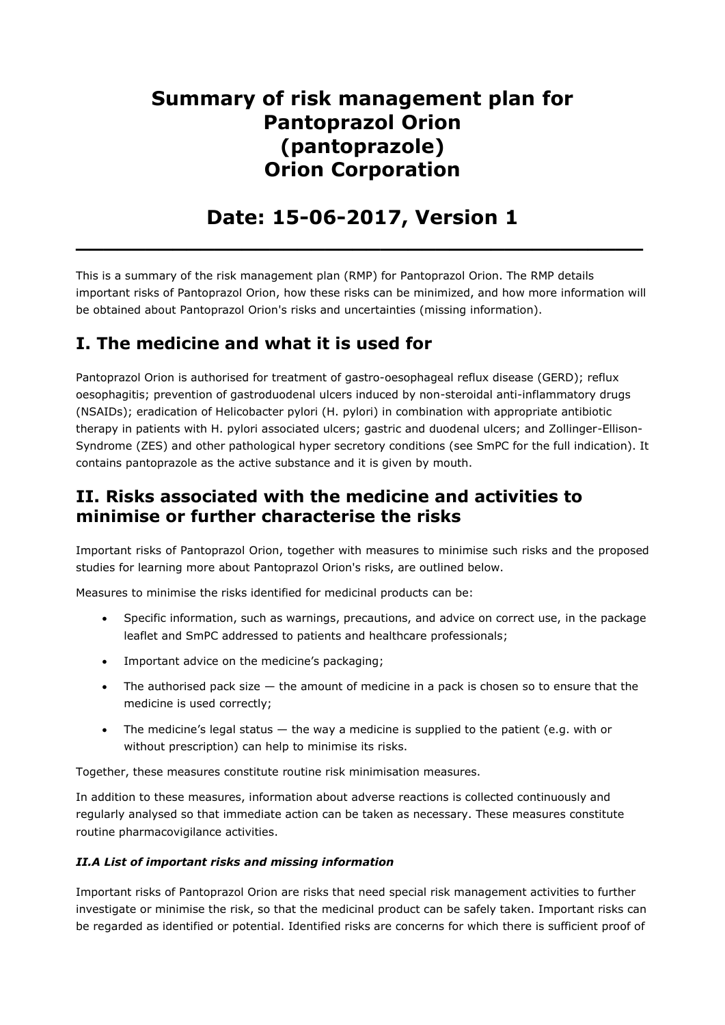# **Summary of risk management plan for Pantoprazol Orion (pantoprazole) Orion Corporation**

# **Date: 15-06-2017, Version 1**

**\_\_\_\_\_\_\_\_\_\_\_\_\_\_\_\_\_\_\_\_\_\_\_\_\_\_\_\_\_\_\_\_\_\_\_\_\_\_\_\_\_**

This is a summary of the risk management plan (RMP) for Pantoprazol Orion. The RMP details important risks of Pantoprazol Orion, how these risks can be minimized, and how more information will be obtained about Pantoprazol Orion's risks and uncertainties (missing information).

## **I. The medicine and what it is used for**

Pantoprazol Orion is authorised for treatment of gastro-oesophageal reflux disease (GERD); reflux oesophagitis; prevention of gastroduodenal ulcers induced by non-steroidal anti-inflammatory drugs (NSAIDs); eradication of Helicobacter pylori (H. pylori) in combination with appropriate antibiotic therapy in patients with H. pylori associated ulcers; gastric and duodenal ulcers; and Zollinger-Ellison-Syndrome (ZES) and other pathological hyper secretory conditions (see SmPC for the full indication). It contains pantoprazole as the active substance and it is given by mouth.

### **II. Risks associated with the medicine and activities to minimise or further characterise the risks**

Important risks of Pantoprazol Orion, together with measures to minimise such risks and the proposed studies for learning more about Pantoprazol Orion's risks, are outlined below.

Measures to minimise the risks identified for medicinal products can be:

- Specific information, such as warnings, precautions, and advice on correct use, in the package leaflet and SmPC addressed to patients and healthcare professionals;
- Important advice on the medicine's packaging;
- The authorised pack size  $-$  the amount of medicine in a pack is chosen so to ensure that the medicine is used correctly;
- The medicine's legal status the way a medicine is supplied to the patient (e.g. with or without prescription) can help to minimise its risks.

Together, these measures constitute routine risk minimisation measures.

In addition to these measures, information about adverse reactions is collected continuously and regularly analysed so that immediate action can be taken as necessary. These measures constitute routine pharmacovigilance activities.

### *II.A List of important risks and missing information*

Important risks of Pantoprazol Orion are risks that need special risk management activities to further investigate or minimise the risk, so that the medicinal product can be safely taken. Important risks can be regarded as identified or potential. Identified risks are concerns for which there is sufficient proof of